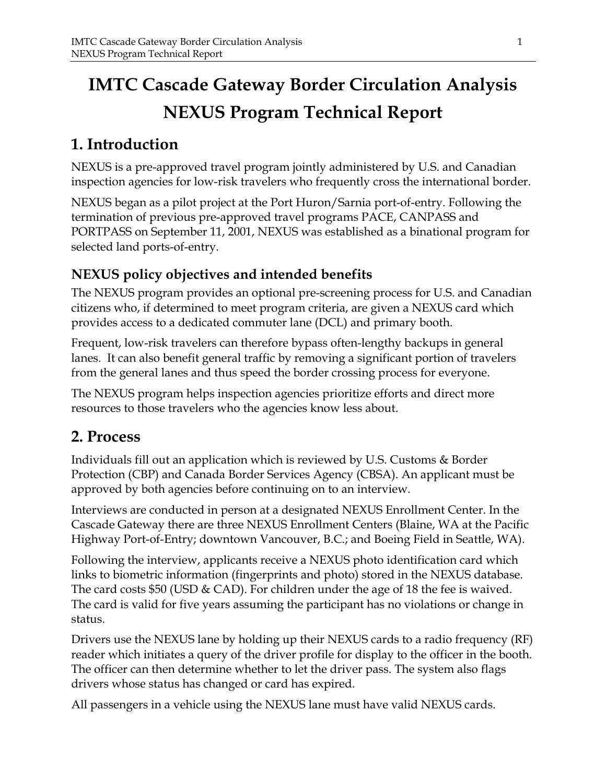# **IMTC Cascade Gateway Border Circulation Analysis NEXUS Program Technical Report**

# **1. Introduction**

NEXUS is a pre-approved travel program jointly administered by U.S. and Canadian inspection agencies for low-risk travelers who frequently cross the international border.

NEXUS began as a pilot project at the Port Huron/Sarnia port-of-entry. Following the termination of previous pre-approved travel programs PACE, CANPASS and PORTPASS on September 11, 2001, NEXUS was established as a binational program for selected land ports-of-entry.

# **NEXUS policy objectives and intended benefits**

The NEXUS program provides an optional pre-screening process for U.S. and Canadian citizens who, if determined to meet program criteria, are given a NEXUS card which provides access to a dedicated commuter lane (DCL) and primary booth.

Frequent, low-risk travelers can therefore bypass often-lengthy backups in general lanes. It can also benefit general traffic by removing a significant portion of travelers from the general lanes and thus speed the border crossing process for everyone.

The NEXUS program helps inspection agencies prioritize efforts and direct more resources to those travelers who the agencies know less about.

# **2. Process**

Individuals fill out an application which is reviewed by U.S. Customs & Border Protection (CBP) and Canada Border Services Agency (CBSA). An applicant must be approved by both agencies before continuing on to an interview.

Interviews are conducted in person at a designated NEXUS Enrollment Center. In the Cascade Gateway there are three NEXUS Enrollment Centers (Blaine, WA at the Pacific Highway Port-of-Entry; downtown Vancouver, B.C.; and Boeing Field in Seattle, WA).

Following the interview, applicants receive a NEXUS photo identification card which links to biometric information (fingerprints and photo) stored in the NEXUS database. The card costs \$50 (USD & CAD). For children under the age of 18 the fee is waived. The card is valid for five years assuming the participant has no violations or change in status.

Drivers use the NEXUS lane by holding up their NEXUS cards to a radio frequency (RF) reader which initiates a query of the driver profile for display to the officer in the booth. The officer can then determine whether to let the driver pass. The system also flags drivers whose status has changed or card has expired.

All passengers in a vehicle using the NEXUS lane must have valid NEXUS cards.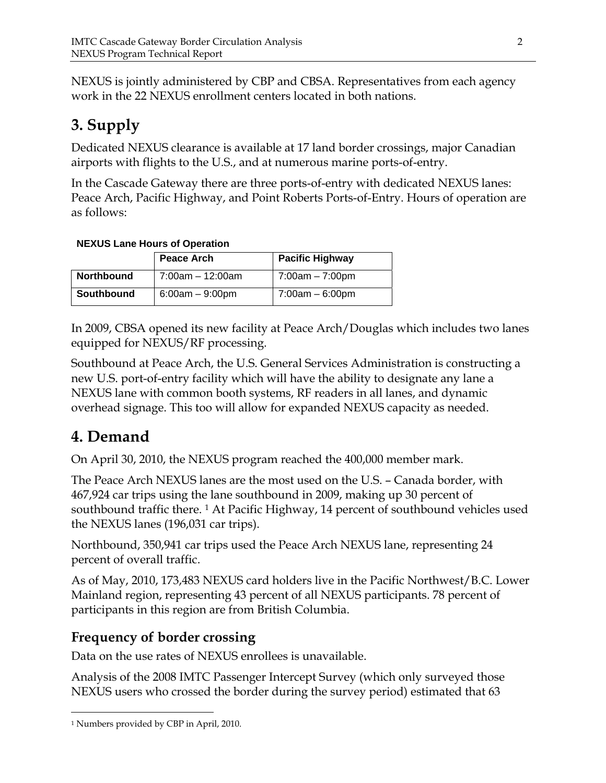NEXUS is jointly administered by CBP and CBSA. Representatives from each agency work in the 22 NEXUS enrollment centers located in both nations.

# **3. Supply**

Dedicated NEXUS clearance is available at 17 land border crossings, major Canadian airports with flights to the U.S., and at numerous marine ports-of-entry.

In the Cascade Gateway there are three ports-of-entry with dedicated NEXUS lanes: Peace Arch, Pacific Highway, and Point Roberts Ports-of-Entry. Hours of operation are as follows:

### **NEXUS Lane Hours of Operation**

|                   | <b>Peace Arch</b>     | <b>Pacific Highway</b> |
|-------------------|-----------------------|------------------------|
| <b>Northbound</b> | $7:00$ am $-12:00$ am | 7:00am – 7:00pm        |
| Southbound        | $6:00am - 9:00pm$     | $7:00am - 6:00pm$      |

In 2009, CBSA opened its new facility at Peace Arch/Douglas which includes two lanes equipped for NEXUS/RF processing.

Southbound at Peace Arch, the U.S. General Services Administration is constructing a new U.S. port-of-entry facility which will have the ability to designate any lane a NEXUS lane with common booth systems, RF readers in all lanes, and dynamic overhead signage. This too will allow for expanded NEXUS capacity as needed.

# **4. Demand**

On April 30, 2010, the NEXUS program reached the 400,000 member mark.

The Peace Arch NEXUS lanes are the most used on the U.S. – Canada border, with 467,924 car trips using the lane southbound in 2009, making up 30 percent of southbound traffic there. <sup>1</sup> At Pacific Highway, 14 percent of southbound vehicles used the NEXUS lanes (196,031 car trips).

Northbound, 350,941 car trips used the Peace Arch NEXUS lane, representing 24 percent of overall traffic.

As of May, 2010, 173,483 NEXUS card holders live in the Pacific Northwest/B.C. Lower Mainland region, representing 43 percent of all NEXUS participants. 78 percent of participants in this region are from British Columbia.

## **Frequency of border crossing**

Data on the use rates of NEXUS enrollees is unavailable.

Analysis of the 2008 IMTC Passenger Intercept Survey (which only surveyed those NEXUS users who crossed the border during the survey period) estimated that 63

 $\overline{a}$ 

<sup>1</sup> Numbers provided by CBP in April, 2010.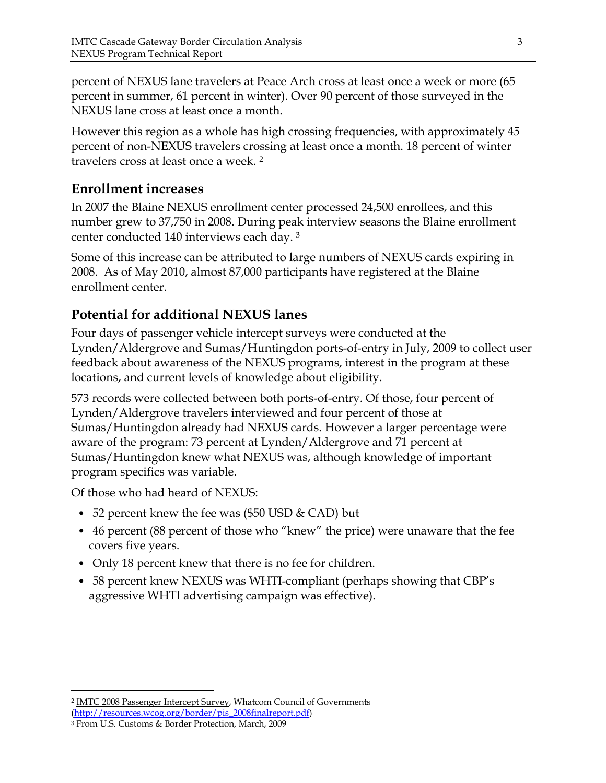percent of NEXUS lane travelers at Peace Arch cross at least once a week or more (65 percent in summer, 61 percent in winter). Over 90 percent of those surveyed in the NEXUS lane cross at least once a month.

However this region as a whole has high crossing frequencies, with approximately 45 percent of non-NEXUS travelers crossing at least once a month. 18 percent of winter travelers cross at least once a week. 2

## **Enrollment increases**

In 2007 the Blaine NEXUS enrollment center processed 24,500 enrollees, and this number grew to 37,750 in 2008. During peak interview seasons the Blaine enrollment center conducted 140 interviews each day. 3

Some of this increase can be attributed to large numbers of NEXUS cards expiring in 2008. As of May 2010, almost 87,000 participants have registered at the Blaine enrollment center.

## **Potential for additional NEXUS lanes**

Four days of passenger vehicle intercept surveys were conducted at the Lynden/Aldergrove and Sumas/Huntingdon ports-of-entry in July, 2009 to collect user feedback about awareness of the NEXUS programs, interest in the program at these locations, and current levels of knowledge about eligibility.

573 records were collected between both ports-of-entry. Of those, four percent of Lynden/Aldergrove travelers interviewed and four percent of those at Sumas/Huntingdon already had NEXUS cards. However a larger percentage were aware of the program: 73 percent at Lynden/Aldergrove and 71 percent at Sumas/Huntingdon knew what NEXUS was, although knowledge of important program specifics was variable.

Of those who had heard of NEXUS:

- 52 percent knew the fee was (\$50 USD & CAD) but
- 46 percent (88 percent of those who "knew" the price) were unaware that the fee covers five years.
- Only 18 percent knew that there is no fee for children.
- 58 percent knew NEXUS was WHTI-compliant (perhaps showing that CBP's aggressive WHTI advertising campaign was effective).

<u>.</u>

<sup>2</sup> IMTC 2008 Passenger Intercept Survey, Whatcom Council of Governments

<sup>(</sup>http://resources.wcog.org/border/pis\_2008finalreport.pdf)

<sup>3</sup> From U.S. Customs & Border Protection, March, 2009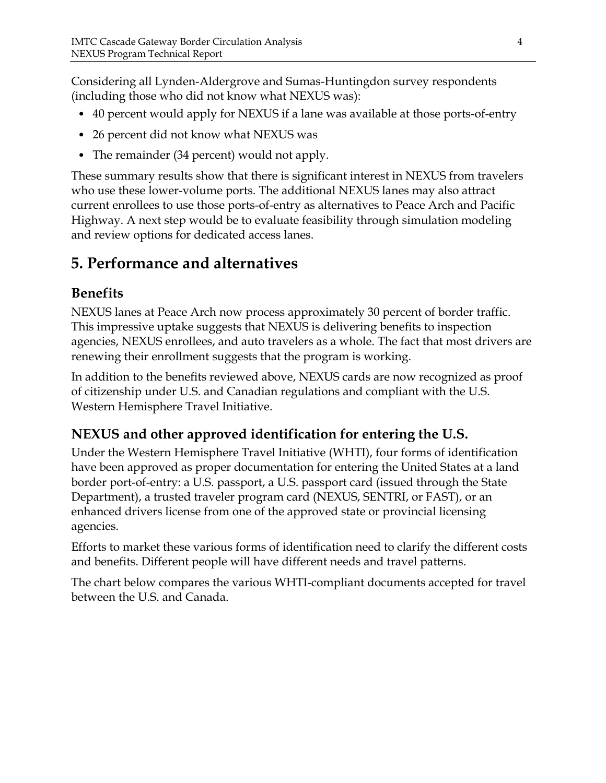Considering all Lynden-Aldergrove and Sumas-Huntingdon survey respondents (including those who did not know what NEXUS was):

- 40 percent would apply for NEXUS if a lane was available at those ports-of-entry
- 26 percent did not know what NEXUS was
- The remainder (34 percent) would not apply.

These summary results show that there is significant interest in NEXUS from travelers who use these lower-volume ports. The additional NEXUS lanes may also attract current enrollees to use those ports-of-entry as alternatives to Peace Arch and Pacific Highway. A next step would be to evaluate feasibility through simulation modeling and review options for dedicated access lanes.

# **5. Performance and alternatives**

## **Benefits**

NEXUS lanes at Peace Arch now process approximately 30 percent of border traffic. This impressive uptake suggests that NEXUS is delivering benefits to inspection agencies, NEXUS enrollees, and auto travelers as a whole. The fact that most drivers are renewing their enrollment suggests that the program is working.

In addition to the benefits reviewed above, NEXUS cards are now recognized as proof of citizenship under U.S. and Canadian regulations and compliant with the U.S. Western Hemisphere Travel Initiative.

# **NEXUS and other approved identification for entering the U.S.**

Under the Western Hemisphere Travel Initiative (WHTI), four forms of identification have been approved as proper documentation for entering the United States at a land border port-of-entry: a U.S. passport, a U.S. passport card (issued through the State Department), a trusted traveler program card (NEXUS, SENTRI, or FAST), or an enhanced drivers license from one of the approved state or provincial licensing agencies.

Efforts to market these various forms of identification need to clarify the different costs and benefits. Different people will have different needs and travel patterns.

The chart below compares the various WHTI-compliant documents accepted for travel between the U.S. and Canada.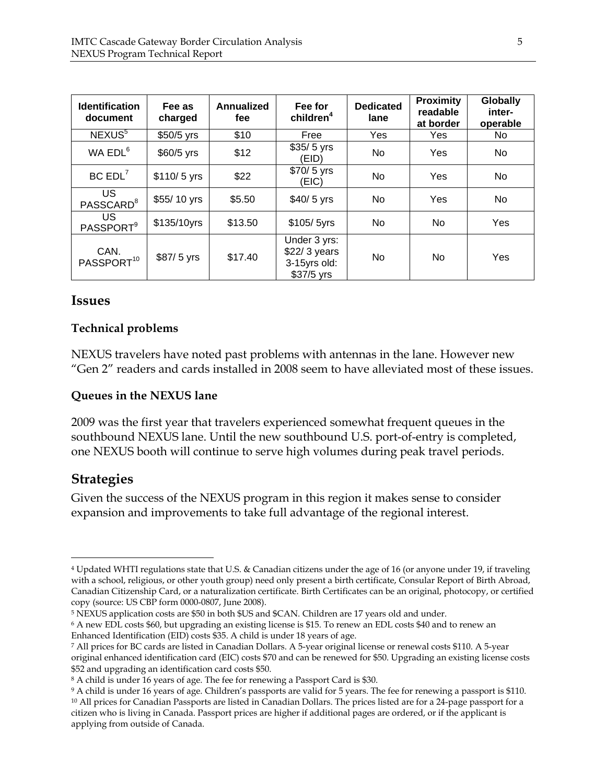| <b>Identification</b><br>document  | Fee as<br>charged | <b>Annualized</b><br>fee | Fee for<br>children <sup>4</sup>                            | <b>Dedicated</b><br>lane | <b>Proximity</b><br>readable<br>at border | <b>Globally</b><br>inter-<br>operable |
|------------------------------------|-------------------|--------------------------|-------------------------------------------------------------|--------------------------|-------------------------------------------|---------------------------------------|
| NEXUS <sup>5</sup>                 | \$50/5 yrs        | \$10                     | Free                                                        | Yes                      | Yes                                       | No.                                   |
| WA EDL <sup>6</sup>                | $$60/5$ yrs       | \$12                     | $$35/ 5$ yrs<br>(EID)                                       | No                       | Yes                                       | No                                    |
| BC EDL <sup>7</sup>                | $$110/5$ yrs      | \$22                     | $$70/5$ yrs<br>(EIC)                                        | No                       | Yes                                       | No                                    |
| <b>US</b><br>PASSCARD <sup>8</sup> | \$55/10 yrs       | \$5.50                   | $$40/5$ yrs                                                 | No.                      | Yes                                       | No.                                   |
| US.<br>PASSPORT <sup>9</sup>       | \$135/10yrs       | \$13.50                  | \$105/5yrs                                                  | No                       | No                                        | Yes                                   |
| CAN.<br>PASSPORT <sup>10</sup>     | \$87/ 5 yrs       | \$17.40                  | Under 3 yrs:<br>\$22/3 years<br>3-15yrs old:<br>$$37/5$ yrs | No                       | No                                        | Yes                                   |

### **Issues**

#### **Technical problems**

NEXUS travelers have noted past problems with antennas in the lane. However new "Gen 2" readers and cards installed in 2008 seem to have alleviated most of these issues.

#### **Queues in the NEXUS lane**

2009 was the first year that travelers experienced somewhat frequent queues in the southbound NEXUS lane. Until the new southbound U.S. port-of-entry is completed, one NEXUS booth will continue to serve high volumes during peak travel periods.

### **Strategies**

 $\overline{a}$ 

Given the success of the NEXUS program in this region it makes sense to consider expansion and improvements to take full advantage of the regional interest.

<sup>4</sup> Updated WHTI regulations state that U.S. & Canadian citizens under the age of 16 (or anyone under 19, if traveling with a school, religious, or other youth group) need only present a birth certificate, Consular Report of Birth Abroad, Canadian Citizenship Card, or a naturalization certificate. Birth Certificates can be an original, photocopy, or certified copy (source: US CBP form 0000-0807, June 2008).

<sup>5</sup> NEXUS application costs are \$50 in both \$US and \$CAN. Children are 17 years old and under.

<sup>6</sup> A new EDL costs \$60, but upgrading an existing license is \$15. To renew an EDL costs \$40 and to renew an Enhanced Identification (EID) costs \$35. A child is under 18 years of age.

<sup>7</sup> All prices for BC cards are listed in Canadian Dollars. A 5-year original license or renewal costs \$110. A 5-year original enhanced identification card (EIC) costs \$70 and can be renewed for \$50. Upgrading an existing license costs \$52 and upgrading an identification card costs \$50.

<sup>8</sup> A child is under 16 years of age. The fee for renewing a Passport Card is \$30.

<sup>9</sup> A child is under 16 years of age. Children's passports are valid for 5 years. The fee for renewing a passport is \$110. <sup>10</sup> All prices for Canadian Passports are listed in Canadian Dollars. The prices listed are for a 24-page passport for a citizen who is living in Canada. Passport prices are higher if additional pages are ordered, or if the applicant is applying from outside of Canada.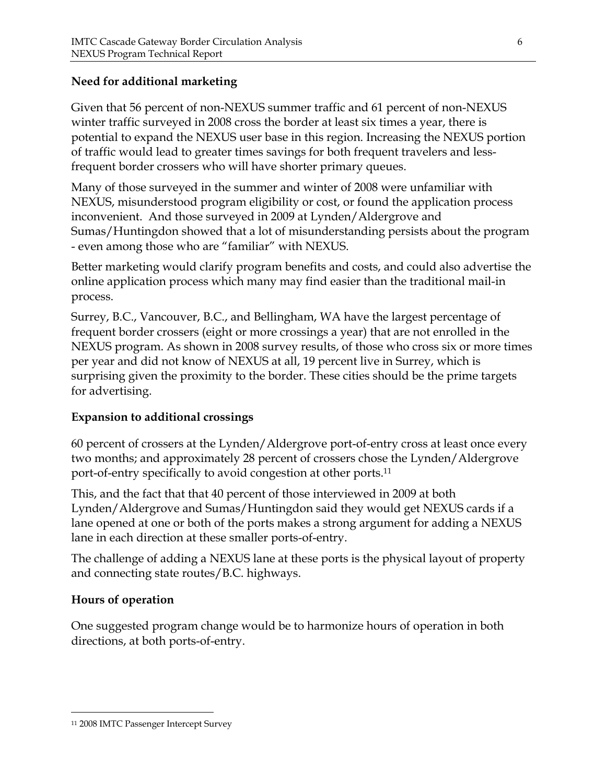### **Need for additional marketing**

Given that 56 percent of non-NEXUS summer traffic and 61 percent of non-NEXUS winter traffic surveyed in 2008 cross the border at least six times a year, there is potential to expand the NEXUS user base in this region. Increasing the NEXUS portion of traffic would lead to greater times savings for both frequent travelers and lessfrequent border crossers who will have shorter primary queues.

Many of those surveyed in the summer and winter of 2008 were unfamiliar with NEXUS, misunderstood program eligibility or cost, or found the application process inconvenient. And those surveyed in 2009 at Lynden/Aldergrove and Sumas/Huntingdon showed that a lot of misunderstanding persists about the program - even among those who are "familiar" with NEXUS.

Better marketing would clarify program benefits and costs, and could also advertise the online application process which many may find easier than the traditional mail-in process.

Surrey, B.C., Vancouver, B.C., and Bellingham, WA have the largest percentage of frequent border crossers (eight or more crossings a year) that are not enrolled in the NEXUS program. As shown in 2008 survey results, of those who cross six or more times per year and did not know of NEXUS at all, 19 percent live in Surrey, which is surprising given the proximity to the border. These cities should be the prime targets for advertising.

### **Expansion to additional crossings**

60 percent of crossers at the Lynden/Aldergrove port-of-entry cross at least once every two months; and approximately 28 percent of crossers chose the Lynden/Aldergrove port-of-entry specifically to avoid congestion at other ports.11

This, and the fact that that 40 percent of those interviewed in 2009 at both Lynden/Aldergrove and Sumas/Huntingdon said they would get NEXUS cards if a lane opened at one or both of the ports makes a strong argument for adding a NEXUS lane in each direction at these smaller ports-of-entry.

The challenge of adding a NEXUS lane at these ports is the physical layout of property and connecting state routes/B.C. highways.

### **Hours of operation**

 $\overline{a}$ 

One suggested program change would be to harmonize hours of operation in both directions, at both ports-of-entry.

<sup>11 2008</sup> IMTC Passenger Intercept Survey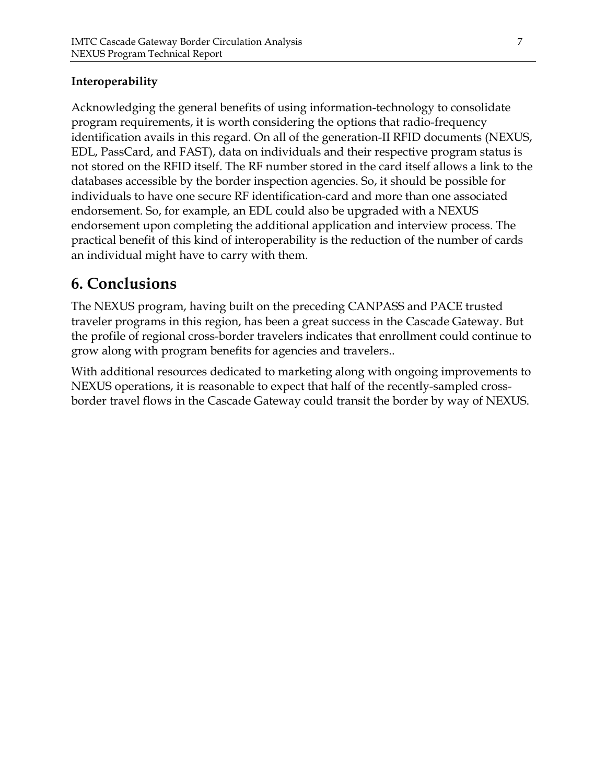### **Interoperability**

Acknowledging the general benefits of using information-technology to consolidate program requirements, it is worth considering the options that radio-frequency identification avails in this regard. On all of the generation-II RFID documents (NEXUS, EDL, PassCard, and FAST), data on individuals and their respective program status is not stored on the RFID itself. The RF number stored in the card itself allows a link to the databases accessible by the border inspection agencies. So, it should be possible for individuals to have one secure RF identification-card and more than one associated endorsement. So, for example, an EDL could also be upgraded with a NEXUS endorsement upon completing the additional application and interview process. The practical benefit of this kind of interoperability is the reduction of the number of cards an individual might have to carry with them.

# **6. Conclusions**

The NEXUS program, having built on the preceding CANPASS and PACE trusted traveler programs in this region, has been a great success in the Cascade Gateway. But the profile of regional cross-border travelers indicates that enrollment could continue to grow along with program benefits for agencies and travelers..

With additional resources dedicated to marketing along with ongoing improvements to NEXUS operations, it is reasonable to expect that half of the recently-sampled crossborder travel flows in the Cascade Gateway could transit the border by way of NEXUS.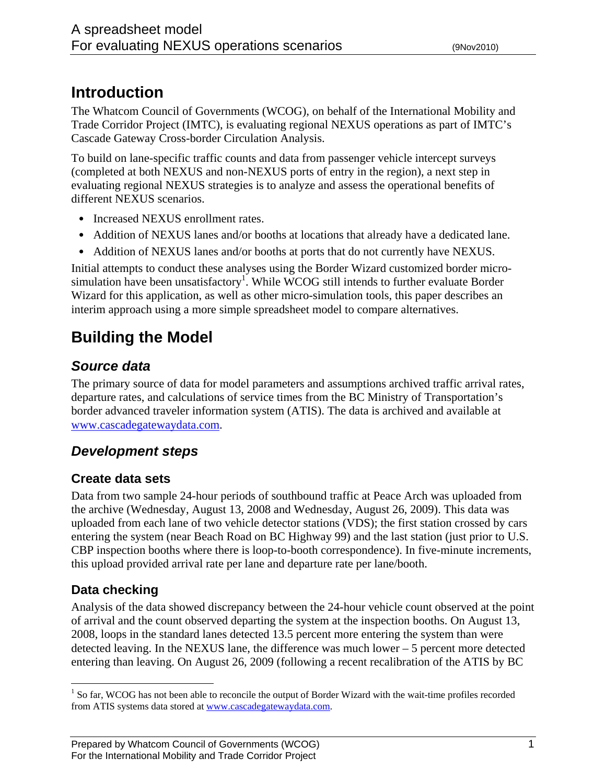# **Introduction**

The Whatcom Council of Governments (WCOG), on behalf of the International Mobility and Trade Corridor Project (IMTC), is evaluating regional NEXUS operations as part of IMTC's Cascade Gateway Cross-border Circulation Analysis.

To build on lane-specific traffic counts and data from passenger vehicle intercept surveys (completed at both NEXUS and non-NEXUS ports of entry in the region), a next step in evaluating regional NEXUS strategies is to analyze and assess the operational benefits of different NEXUS scenarios.

- Increased NEXUS enrollment rates.
- Addition of NEXUS lanes and/or booths at locations that already have a dedicated lane.
- Addition of NEXUS lanes and/or booths at ports that do not currently have NEXUS.

Initial attempts to conduct these analyses using the Border Wizard customized border microsimulation have been unsatisfactory<sup>1</sup>. While WCOG still intends to further evaluate Border Wizard for this application, as well as other micro-simulation tools, this paper describes an interim approach using a more simple spreadsheet model to compare alternatives.

# **Building the Model**

# *Source data*

The primary source of data for model parameters and assumptions archived traffic arrival rates, departure rates, and calculations of service times from the BC Ministry of Transportation's border advanced traveler information system (ATIS). The data is archived and available at www.cascadegatewaydata.com.

# *Development steps*

## **Create data sets**

Data from two sample 24-hour periods of southbound traffic at Peace Arch was uploaded from the archive (Wednesday, August 13, 2008 and Wednesday, August 26, 2009). This data was uploaded from each lane of two vehicle detector stations (VDS); the first station crossed by cars entering the system (near Beach Road on BC Highway 99) and the last station (just prior to U.S. CBP inspection booths where there is loop-to-booth correspondence). In five-minute increments, this upload provided arrival rate per lane and departure rate per lane/booth.

# **Data checking**

 $\overline{a}$ 

Analysis of the data showed discrepancy between the 24-hour vehicle count observed at the point of arrival and the count observed departing the system at the inspection booths. On August 13, 2008, loops in the standard lanes detected 13.5 percent more entering the system than were detected leaving. In the NEXUS lane, the difference was much lower – 5 percent more detected entering than leaving. On August 26, 2009 (following a recent recalibration of the ATIS by BC

<sup>&</sup>lt;sup>1</sup> So far, WCOG has not been able to reconcile the output of Border Wizard with the wait-time profiles recorded from ATIS systems data stored at www.cascadegatewaydata.com.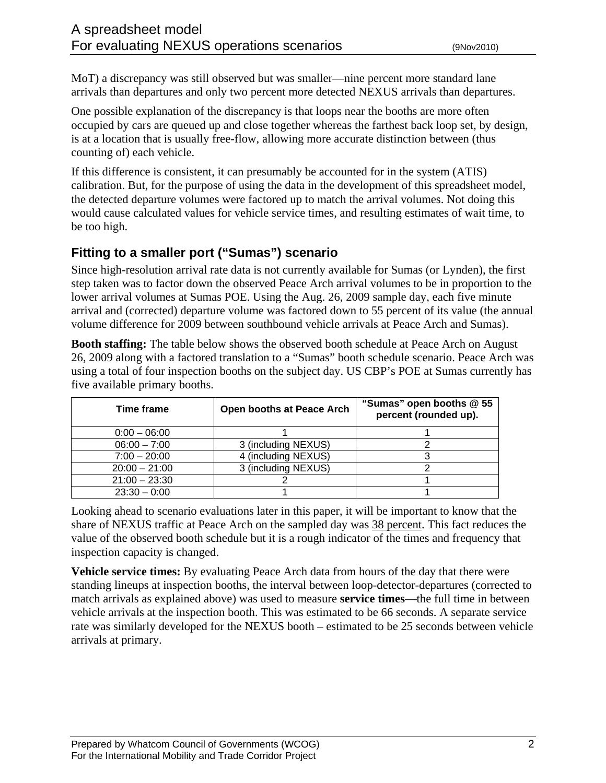MoT) a discrepancy was still observed but was smaller—nine percent more standard lane arrivals than departures and only two percent more detected NEXUS arrivals than departures.

One possible explanation of the discrepancy is that loops near the booths are more often occupied by cars are queued up and close together whereas the farthest back loop set, by design, is at a location that is usually free-flow, allowing more accurate distinction between (thus counting of) each vehicle.

If this difference is consistent, it can presumably be accounted for in the system (ATIS) calibration. But, for the purpose of using the data in the development of this spreadsheet model, the detected departure volumes were factored up to match the arrival volumes. Not doing this would cause calculated values for vehicle service times, and resulting estimates of wait time, to be too high.

## **Fitting to a smaller port ("Sumas") scenario**

Since high-resolution arrival rate data is not currently available for Sumas (or Lynden), the first step taken was to factor down the observed Peace Arch arrival volumes to be in proportion to the lower arrival volumes at Sumas POE. Using the Aug. 26, 2009 sample day, each five minute arrival and (corrected) departure volume was factored down to 55 percent of its value (the annual volume difference for 2009 between southbound vehicle arrivals at Peace Arch and Sumas).

**Booth staffing:** The table below shows the observed booth schedule at Peace Arch on August 26, 2009 along with a factored translation to a "Sumas" booth schedule scenario. Peace Arch was using a total of four inspection booths on the subject day. US CBP's POE at Sumas currently has five available primary booths.

| Time frame      | <b>Open booths at Peace Arch</b> | "Sumas" open booths @ 55<br>percent (rounded up). |
|-----------------|----------------------------------|---------------------------------------------------|
| $0:00 - 06:00$  |                                  |                                                   |
| $06:00 - 7:00$  | 3 (including NEXUS)              |                                                   |
| $7:00 - 20:00$  | 4 (including NEXUS)              |                                                   |
| $20:00 - 21:00$ | 3 (including NEXUS)              |                                                   |
| $21:00 - 23:30$ |                                  |                                                   |
| $23:30 - 0:00$  |                                  |                                                   |

Looking ahead to scenario evaluations later in this paper, it will be important to know that the share of NEXUS traffic at Peace Arch on the sampled day was 38 percent. This fact reduces the value of the observed booth schedule but it is a rough indicator of the times and frequency that inspection capacity is changed.

**Vehicle service times:** By evaluating Peace Arch data from hours of the day that there were standing lineups at inspection booths, the interval between loop-detector-departures (corrected to match arrivals as explained above) was used to measure **service times**—the full time in between vehicle arrivals at the inspection booth. This was estimated to be 66 seconds. A separate service rate was similarly developed for the NEXUS booth – estimated to be 25 seconds between vehicle arrivals at primary.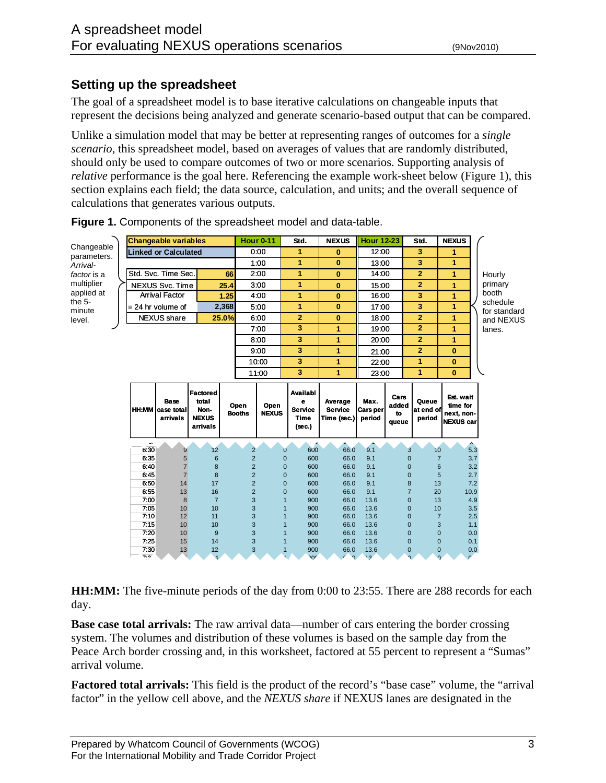### **Setting up the spreadsheet**

The goal of a spreadsheet model is to base iterative calculations on changeable inputs that represent the decisions being analyzed and generate scenario-based output that can be compared.

Unlike a simulation model that may be better at representing ranges of outcomes for a *single scenario*, this spreadsheet model, based on averages of values that are randomly distributed, should only be used to compare outcomes of two or more scenarios. Supporting analysis of *relative* performance is the goal here. Referencing the example work-sheet below (Figure 1), this section explains each field; the data source, calculation, and units; and the overall sequence of calculations that generates various outputs.

|                           |                                  | <b>Changeable variables</b>                        |                                                       |       |                       | <b>Hour 0-11</b>     | Std.                                                     | <b>NEXUS</b>                             | <b>Hour 12-23</b>           |                              | Std.                                         | <b>NEXUS</b>                                            |     |                           |
|---------------------------|----------------------------------|----------------------------------------------------|-------------------------------------------------------|-------|-----------------------|----------------------|----------------------------------------------------------|------------------------------------------|-----------------------------|------------------------------|----------------------------------------------|---------------------------------------------------------|-----|---------------------------|
| Changeable<br>parameters. |                                  | <b>Linked or Calculated</b>                        |                                                       |       |                       | 0:00                 | 1                                                        | 0                                        |                             | 3<br>12:00                   |                                              | 1                                                       |     |                           |
| Arrival-                  |                                  |                                                    |                                                       |       |                       | 1:00                 | $\mathbf{1}$                                             | $\bf{0}$                                 |                             | 3<br>13:00                   |                                              | $\overline{1}$                                          |     |                           |
| factor is a               |                                  | Std. Svc. Time Sec.                                |                                                       | 66    |                       | 2:00                 | 1                                                        | $\bf{0}$                                 | 14:00                       |                              | $\overline{2}$                               | 1                                                       |     | Hourly                    |
| multiplier                |                                  | NEXUS Svc. Time                                    |                                                       | 25.4  |                       | 3:00                 | 1                                                        | $\bf{0}$                                 | 15:00                       |                              | $\overline{2}$                               | $\overline{1}$                                          |     | primary                   |
| applied at                |                                  | <b>Arrival Factor</b>                              |                                                       | 1.25  |                       | 4:00                 | 1                                                        | $\bf{0}$                                 | 16:00                       |                              | 3                                            | 1                                                       |     | booth                     |
| the $5-$                  |                                  | $= 24$ hr volume of                                |                                                       | 2,368 |                       | 5:00                 | 1                                                        | $\bf{0}$                                 | 17:00                       |                              | 3                                            | 1                                                       |     | schedule                  |
| minute<br>level.          |                                  | <b>NEXUS</b> share                                 |                                                       | 25.0% |                       | 6:00                 | $\overline{2}$                                           | $\bf{0}$                                 | 18:00                       |                              | $\overline{2}$                               | 1                                                       |     | for standard<br>and NEXUS |
|                           |                                  |                                                    |                                                       |       |                       | 7:00                 | 3                                                        | $\mathbf{1}$                             | 19:00                       |                              | $\overline{2}$                               | 1                                                       |     | lanes.                    |
|                           |                                  |                                                    |                                                       |       |                       | 8:00                 | 3                                                        | 1                                        | 20:00                       |                              | $\overline{2}$                               | 1                                                       |     |                           |
|                           |                                  |                                                    |                                                       |       |                       |                      | 3                                                        | $\mathbf{1}$                             |                             |                              | $\overline{2}$                               | $\bf{0}$                                                |     |                           |
|                           |                                  |                                                    |                                                       |       |                       | 9:00                 | 3                                                        |                                          | 21:00                       |                              |                                              |                                                         |     |                           |
|                           |                                  |                                                    |                                                       |       |                       | 10:00                |                                                          | 1                                        | 22:00                       |                              | 1                                            | $\bf{0}$                                                |     |                           |
|                           |                                  |                                                    |                                                       |       |                       | 11:00                | 3                                                        | 1                                        | 23:00                       |                              | 1                                            | $\bf{0}$                                                |     |                           |
|                           |                                  | <b>Base</b><br><b>HH:MM</b> case total<br>arrivals | Factored<br>total<br>Non-<br><b>NEXUS</b><br>arrivals |       | Open<br><b>Booths</b> | Open<br><b>NEXUS</b> | Availabl<br>e<br><b>Service</b><br><b>Time</b><br>(sec.) | Average<br><b>Service</b><br>Time (sec.) | Max.<br>Cars per<br>period  | Cars<br>added<br>to<br>queue | Queue<br>at end of<br>period                 | Est. wait<br>time for<br>next, non-<br><b>NEXUS</b> car |     |                           |
|                           | $\overline{\phantom{a}}$<br>630  | 9                                                  | 12                                                    |       | $\overline{2}$        |                      | 600<br>$\mathbf{0}$                                      | 66.0                                     | 9.1                         |                              | 3<br>10                                      |                                                         | 5.3 |                           |
|                           | 6.35                             | 5                                                  | $6\phantom{1}6$                                       |       | $\overline{c}$        |                      | 600<br>$\mathbf{0}$                                      | 66.0                                     | 9.1                         |                              | $\overline{0}$                               | $\overline{7}$<br>3.7                                   |     |                           |
|                           | 640                              | $\overline{7}$                                     | 8                                                     |       | $\overline{2}$        |                      | $\mathbf{0}$<br>600                                      | 66.0                                     | 9.1                         |                              | $\mathbf 0$                                  | 6<br>3.2                                                |     |                           |
|                           | 645                              | $\overline{7}$                                     | 8                                                     |       | $\overline{2}$        |                      | $\overline{0}$<br>600                                    | 66.0                                     | 9.1                         |                              | $\mathbf 0$                                  | 5<br>2.7                                                |     |                           |
|                           | 6:50                             | 14                                                 | 17                                                    |       | $\overline{2}$        |                      | $\mathbf 0$<br>600                                       | 66.0                                     | 9.1                         |                              | 8<br>13                                      | 7.2                                                     |     |                           |
|                           | 6.55<br>7.00                     | 13<br>8                                            | 16<br>$\overline{7}$                                  |       | $\overline{2}$<br>3   |                      | $\overline{0}$<br>600<br>$\overline{1}$<br>900           | 66.0<br>66.0                             | 9.1<br>13.6                 |                              | $\overline{7}$<br>20<br>$\overline{0}$<br>13 | 10.9<br>4.9                                             |     |                           |
|                           | 7:05                             | 10                                                 | 10                                                    |       | 3                     |                      | $\overline{1}$<br>900                                    | 66.0                                     | 13.6                        |                              | $\mathbf 0$<br>10                            | 3.5                                                     |     |                           |
|                           | 7:10                             | 12                                                 | 11                                                    |       | 3                     |                      | $\overline{1}$<br>900                                    | 66.0                                     | 13.6                        |                              | $\mathbf 0$                                  | $\overline{\mathbf{7}}$<br>2.5                          |     |                           |
|                           | 7.15                             | 10                                                 | 10                                                    |       | 3                     |                      | $\overline{1}$<br>900                                    | 66.0                                     | 13.6                        |                              | $\mathbf 0$                                  | 3<br>1.1                                                |     |                           |
|                           | 7.20                             | 10                                                 | 9                                                     |       | 3                     |                      | $\overline{1}$<br>900                                    | 66.0                                     | 13.6                        |                              | $\overline{0}$                               | $\mathbf 0$<br>0.0                                      |     |                           |
|                           | 725                              | 15                                                 | 14                                                    |       | 3                     |                      | 900<br>$\overline{1}$                                    | 66.0                                     | 13.6                        |                              | $\mathbf 0$                                  | $\mathbf 0$<br>0.1                                      |     |                           |
|                           | 7:30<br>$\overline{\phantom{a}}$ | 13                                                 | 12<br>$\mathbf{1}$                                    |       | 3                     |                      | 900<br>$\overline{v}$                                    | 66.0<br>$\Omega$                         | 13.6<br>$\ddot{\mathbf{z}}$ |                              | $\mathbf 0$                                  | $\mathbf 0$<br>0.0<br>$\Omega$                          |     |                           |

**Figure 1.** Components of the spreadsheet model and data-table.

**HH:MM:** The five-minute periods of the day from 0:00 to 23:55. There are 288 records for each day.

**Base case total arrivals:** The raw arrival data—number of cars entering the border crossing system. The volumes and distribution of these volumes is based on the sample day from the Peace Arch border crossing and, in this worksheet, factored at 55 percent to represent a "Sumas" arrival volume.

**Factored total arrivals:** This field is the product of the record's "base case" volume, the "arrival factor" in the yellow cell above, and the *NEXUS share* if NEXUS lanes are designated in the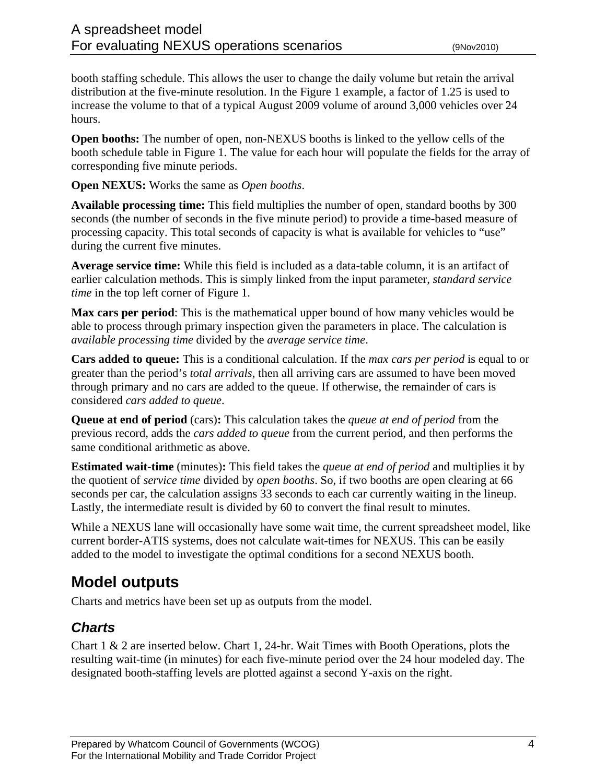booth staffing schedule. This allows the user to change the daily volume but retain the arrival distribution at the five-minute resolution. In the Figure 1 example, a factor of 1.25 is used to increase the volume to that of a typical August 2009 volume of around 3,000 vehicles over 24 hours.

**Open booths:** The number of open, non-NEXUS booths is linked to the yellow cells of the booth schedule table in Figure 1. The value for each hour will populate the fields for the array of corresponding five minute periods.

**Open NEXUS:** Works the same as *Open booths*.

**Available processing time:** This field multiplies the number of open, standard booths by 300 seconds (the number of seconds in the five minute period) to provide a time-based measure of processing capacity. This total seconds of capacity is what is available for vehicles to "use" during the current five minutes.

**Average service time:** While this field is included as a data-table column, it is an artifact of earlier calculation methods. This is simply linked from the input parameter, *standard service time* in the top left corner of Figure 1.

**Max cars per period**: This is the mathematical upper bound of how many vehicles would be able to process through primary inspection given the parameters in place. The calculation is *available processing time* divided by the *average service time*.

**Cars added to queue:** This is a conditional calculation. If the *max cars per period* is equal to or greater than the period's *total arrivals*, then all arriving cars are assumed to have been moved through primary and no cars are added to the queue. If otherwise, the remainder of cars is considered *cars added to queue*.

**Queue at end of period** (cars)**:** This calculation takes the *queue at end of period* from the previous record, adds the *cars added to queue* from the current period, and then performs the same conditional arithmetic as above.

**Estimated wait-time** (minutes)**:** This field takes the *queue at end of period* and multiplies it by the quotient of *service time* divided by *open booths*. So, if two booths are open clearing at 66 seconds per car, the calculation assigns 33 seconds to each car currently waiting in the lineup. Lastly, the intermediate result is divided by 60 to convert the final result to minutes.

While a NEXUS lane will occasionally have some wait time, the current spreadsheet model, like current border-ATIS systems, does not calculate wait-times for NEXUS. This can be easily added to the model to investigate the optimal conditions for a second NEXUS booth.

# **Model outputs**

Charts and metrics have been set up as outputs from the model.

# *Charts*

Chart 1 & 2 are inserted below. Chart 1, 24-hr. Wait Times with Booth Operations, plots the resulting wait-time (in minutes) for each five-minute period over the 24 hour modeled day. The designated booth-staffing levels are plotted against a second Y-axis on the right.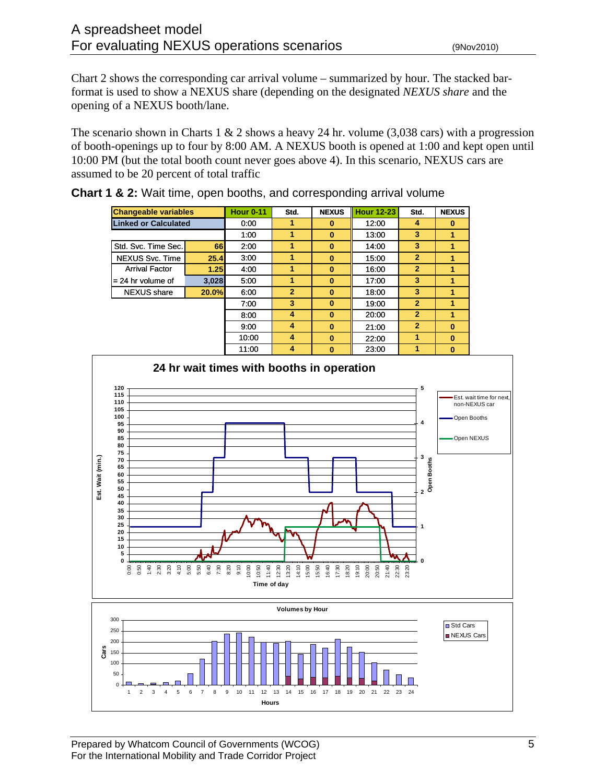Chart 2 shows the corresponding car arrival volume – summarized by hour. The stacked barformat is used to show a NEXUS share (depending on the designated *NEXUS share* and the opening of a NEXUS booth/lane.

The scenario shown in Charts 1  $\&$  2 shows a heavy 24 hr. volume (3,038 cars) with a progression of booth-openings up to four by 8:00 AM. A NEXUS booth is opened at 1:00 and kept open until 10:00 PM (but the total booth count never goes above 4). In this scenario, NEXUS cars are assumed to be 20 percent of total traffic

| <b>Changeable variables</b> |       | <b>Hour 0-11</b> | Std.           | <b>NEXUS</b> | <b>Hour 12-23</b> | Std.           | <b>NEXUS</b> |
|-----------------------------|-------|------------------|----------------|--------------|-------------------|----------------|--------------|
| <b>Linked or Calculated</b> |       | 0:00             |                | 0            | 12:00             | 4              | 0            |
|                             |       | 1:00             |                | $\bf{0}$     | 13:00             | 3              |              |
| Std. Svc. Time Sec.         | 66    | 2:00             |                | $\bf{0}$     | 14:00             | 3              |              |
| NEXUS Svc. Time             | 25.4  | 3:00             |                | $\bf{0}$     | 15:00             | $\overline{2}$ | 1            |
| <b>Arrival Factor</b>       | 1.25  | 4:00             |                | $\bf{0}$     | 16:00             | $\overline{2}$ |              |
| $= 24$ hr volume of         | 3,028 | 5:00             |                | $\bf{0}$     | 17:00             | 3              |              |
| <b>NEXUS</b> share          | 20.0% | 6:00             | $\overline{2}$ | $\bf{0}$     | 18:00             | 3              |              |
|                             |       | 7:00             | 3              | $\bf{0}$     | 19:00             | $\overline{2}$ |              |
|                             |       | 8:00             | 4              | $\bf{0}$     | 20:00             | $\overline{2}$ |              |
|                             |       | 9:00             | 4              | $\bf{0}$     | 21:00             | $\overline{2}$ | $\mathbf{0}$ |
|                             |       | 10:00            | 4              | $\bf{0}$     | 22:00             |                | $\bf{0}$     |
|                             |       |                  |                |              |                   |                |              |

**Chart 1 & 2:** Wait time, open booths, and corresponding arrival volume

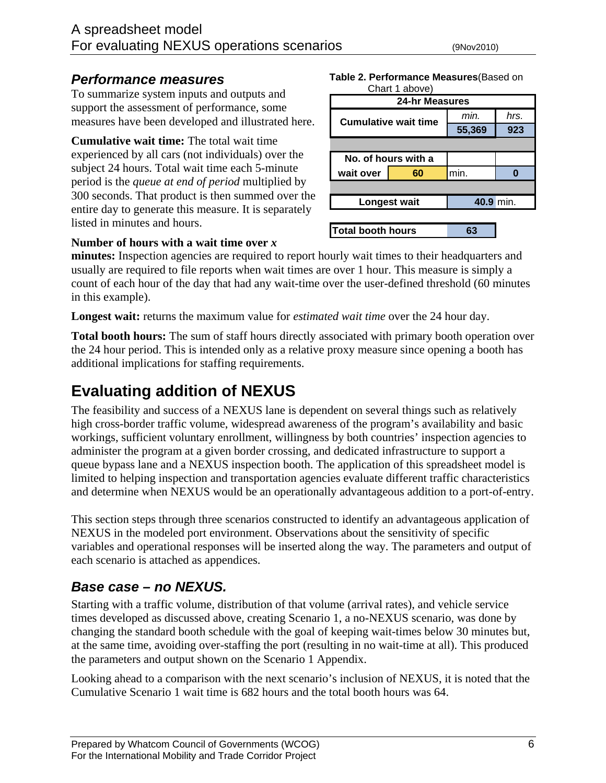### *Performance measures*

To summarize system inputs and outputs and support the assessment of performance, some measures have been developed and illustrated here.

**Cumulative wait time:** The total wait time experienced by all cars (not individuals) over the subject 24 hours. Total wait time each 5-minute period is the *queue at end of period* multiplied by 300 seconds. That product is then summed over the entire day to generate this measure. It is separately listed in minutes and hours.

**Table 2. Performance Measures**(Based on

|                   | Chart 1 above)              |           |      |
|-------------------|-----------------------------|-----------|------|
|                   | 24-hr Measures              |           |      |
|                   | <b>Cumulative wait time</b> | min.      | hrs. |
|                   |                             | 55,369    | 923  |
|                   |                             |           |      |
|                   | No. of hours with a         |           |      |
| wait over         | 60                          | min.      |      |
|                   |                             |           |      |
|                   | Longest wait                | 40.9 min. |      |
|                   |                             |           |      |
| Total booth hours |                             |           |      |

### **Number of hours with a wait time over** *x*

**minutes:** Inspection agencies are required to report hourly wait times to their headquarters and usually are required to file reports when wait times are over 1 hour. This measure is simply a count of each hour of the day that had any wait-time over the user-defined threshold (60 minutes in this example).

**Longest wait:** returns the maximum value for *estimated wait time* over the 24 hour day.

**Total booth hours:** The sum of staff hours directly associated with primary booth operation over the 24 hour period. This is intended only as a relative proxy measure since opening a booth has additional implications for staffing requirements.

# **Evaluating addition of NEXUS**

The feasibility and success of a NEXUS lane is dependent on several things such as relatively high cross-border traffic volume, widespread awareness of the program's availability and basic workings, sufficient voluntary enrollment, willingness by both countries' inspection agencies to administer the program at a given border crossing, and dedicated infrastructure to support a queue bypass lane and a NEXUS inspection booth. The application of this spreadsheet model is limited to helping inspection and transportation agencies evaluate different traffic characteristics and determine when NEXUS would be an operationally advantageous addition to a port-of-entry.

This section steps through three scenarios constructed to identify an advantageous application of NEXUS in the modeled port environment. Observations about the sensitivity of specific variables and operational responses will be inserted along the way. The parameters and output of each scenario is attached as appendices.

## *Base case – no NEXUS.*

Starting with a traffic volume, distribution of that volume (arrival rates), and vehicle service times developed as discussed above, creating Scenario 1, a no-NEXUS scenario, was done by changing the standard booth schedule with the goal of keeping wait-times below 30 minutes but, at the same time, avoiding over-staffing the port (resulting in no wait-time at all). This produced the parameters and output shown on the Scenario 1 Appendix.

Looking ahead to a comparison with the next scenario's inclusion of NEXUS, it is noted that the Cumulative Scenario 1 wait time is 682 hours and the total booth hours was 64.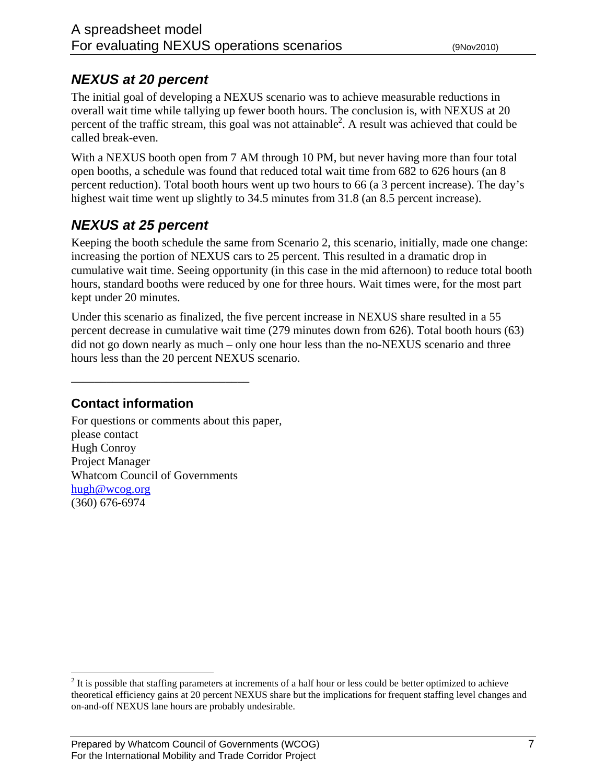# *NEXUS at 20 percent*

The initial goal of developing a NEXUS scenario was to achieve measurable reductions in overall wait time while tallying up fewer booth hours. The conclusion is, with NEXUS at 20 percent of the traffic stream, this goal was not attainable<sup>2</sup>. A result was achieved that could be called break-even.

With a NEXUS booth open from 7 AM through 10 PM, but never having more than four total open booths, a schedule was found that reduced total wait time from 682 to 626 hours (an 8 percent reduction). Total booth hours went up two hours to 66 (a 3 percent increase). The day's highest wait time went up slightly to 34.5 minutes from 31.8 (an 8.5 percent increase).

# *NEXUS at 25 percent*

Keeping the booth schedule the same from Scenario 2, this scenario, initially, made one change: increasing the portion of NEXUS cars to 25 percent. This resulted in a dramatic drop in cumulative wait time. Seeing opportunity (in this case in the mid afternoon) to reduce total booth hours, standard booths were reduced by one for three hours. Wait times were, for the most part kept under 20 minutes.

Under this scenario as finalized, the five percent increase in NEXUS share resulted in a 55 percent decrease in cumulative wait time (279 minutes down from 626). Total booth hours (63) did not go down nearly as much – only one hour less than the no-NEXUS scenario and three hours less than the 20 percent NEXUS scenario.

**Contact information** 

1

\_\_\_\_\_\_\_\_\_\_\_\_\_\_\_\_\_\_\_\_\_\_\_\_\_\_\_\_\_\_

For questions or comments about this paper, please contact Hugh Conroy Project Manager Whatcom Council of Governments hugh@wcog.org (360) 676-6974

 $2<sup>2</sup>$  It is possible that staffing parameters at increments of a half hour or less could be better optimized to achieve theoretical efficiency gains at 20 percent NEXUS share but the implications for frequent staffing level changes and on-and-off NEXUS lane hours are probably undesirable.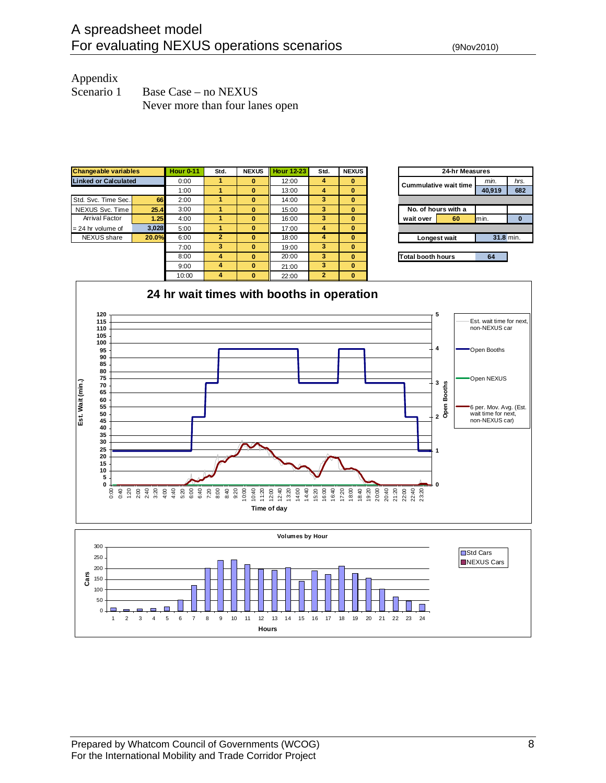## Appendix

| Scenario 1 | Base Case – no NEXUS            |
|------------|---------------------------------|
|            | Never more than four lanes open |







1 2 3 4 5 6 7 8 9 10 11 12 13 14 15 16 17 18 19 20 21 22 23 24 **Hours**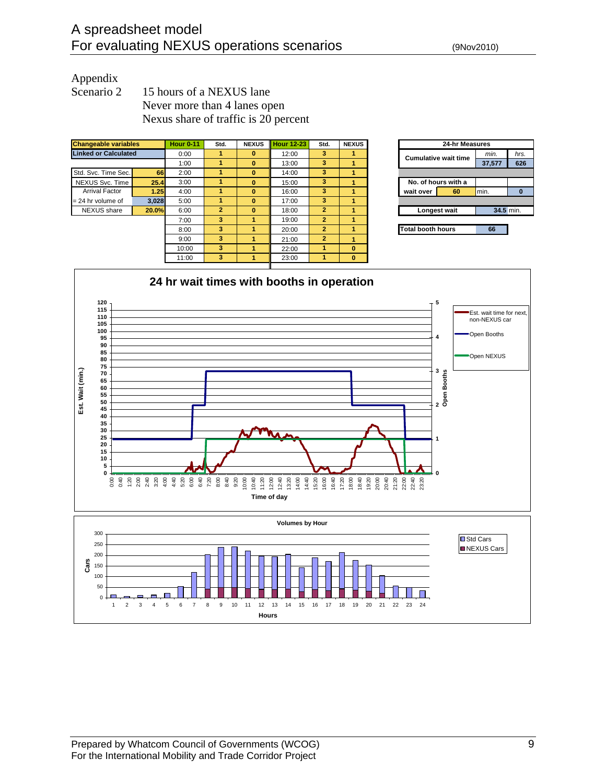### Appendix

Scenario 2 15 hours of a NEXUS lane Never more than 4 lanes open Nexus share of traffic is 20 percent

| <b>Changeable variables</b> |       | <b>Hour 0-11</b> | Std.           | <b>NEXUS</b> | <b>Hour 12-23</b> | Std.           | <b>NEXUS</b> | 24-hr Measures                      |
|-----------------------------|-------|------------------|----------------|--------------|-------------------|----------------|--------------|-------------------------------------|
| <b>Linked or Calculated</b> |       | 0:00             | 1              | 0            | 12:00             | 3              |              | min.<br><b>Cumulative wait time</b> |
|                             |       | 1:00             |                | $\bf{0}$     | 13:00             | 3              |              | 37,577                              |
| Std. Svc. Time Sec.         | 66    | 2:00             | 1              | $\bf{0}$     | 14:00             | 3              |              |                                     |
| NEXUS Svc. Time             | 25.4  | 3:00             | 1              | $\bf{0}$     | 15:00             | 3              |              | No. of hours with a                 |
| <b>Arrival Factor</b>       | 1.25  | 4:00             | 1              | $\bf{0}$     | 16:00             | 3              |              | min.<br>60<br>wait over             |
| $= 24$ hr volume of         | 3.028 | 5:00             | 1              | $\bf{0}$     | 17:00             | 3              |              |                                     |
| <b>NEXUS</b> share          | 20.0% | 6:00             | $\overline{2}$ | $\bf{0}$     | 18:00             | $\overline{2}$ |              | 34.5 min.<br>Longest wait           |
|                             |       | 7:00             | 3              |              | 19:00             | $\overline{2}$ |              |                                     |
|                             |       | 8:00             | 3              |              | 20:00             | $\overline{2}$ |              | <b>Total booth hours</b><br>66      |
|                             |       | 9:00             | 3              |              | 21:00             | $\overline{2}$ |              |                                     |
|                             |       | 10:00            | 3              |              | 22:00             | 1              | $\bf{0}$     |                                     |
|                             |       | 11:00            | 3              |              | 23:00             | 1              | $\bf{0}$     |                                     |
|                             |       |                  |                |              |                   |                |              |                                     |